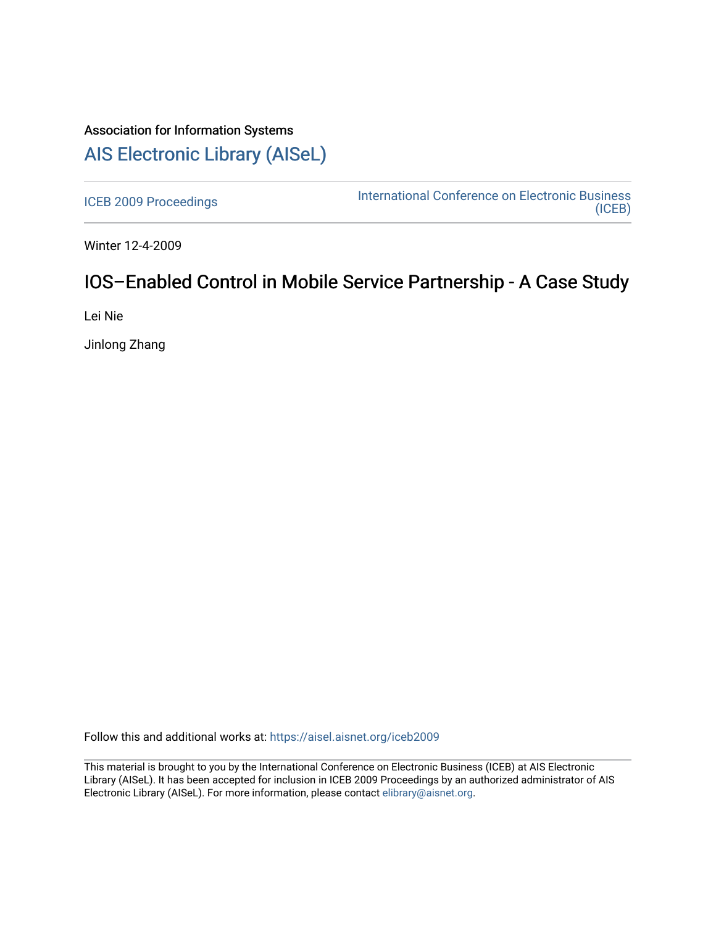# Association for Information Systems [AIS Electronic Library \(AISeL\)](https://aisel.aisnet.org/)

[ICEB 2009 Proceedings](https://aisel.aisnet.org/iceb2009) **International Conference on Electronic Business** [\(ICEB\)](https://aisel.aisnet.org/iceb) 

Winter 12-4-2009

# IOS–Enabled Control in Mobile Service Partnership - A Case Study

Lei Nie

Jinlong Zhang

Follow this and additional works at: [https://aisel.aisnet.org/iceb2009](https://aisel.aisnet.org/iceb2009?utm_source=aisel.aisnet.org%2Ficeb2009%2F60&utm_medium=PDF&utm_campaign=PDFCoverPages)

This material is brought to you by the International Conference on Electronic Business (ICEB) at AIS Electronic Library (AISeL). It has been accepted for inclusion in ICEB 2009 Proceedings by an authorized administrator of AIS Electronic Library (AISeL). For more information, please contact [elibrary@aisnet.org.](mailto:elibrary@aisnet.org%3E)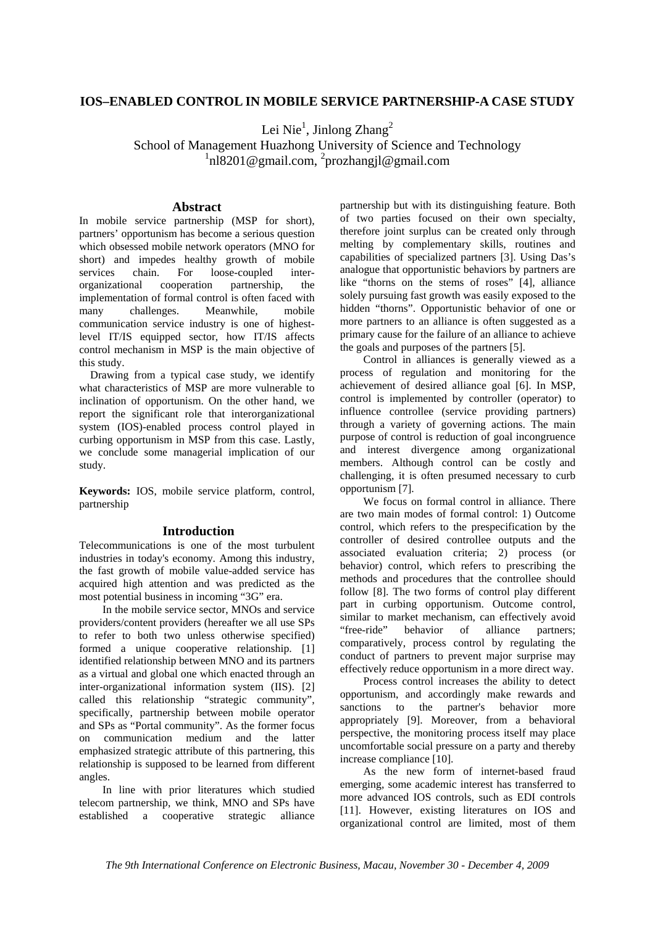## **IOS–ENABLED CONTROL IN MOBILE SERVICE PARTNERSHIP-A CASE STUDY**

Lei Nie<sup>1</sup>, Jinlong Zhang<sup>2</sup>

School of Management Huazhong University of Science and Technology 1 nl8201@gmail.com, 2 prozhangjl@gmail.com

### **Abstract**

In mobile service partnership (MSP for short), partners' opportunism has become a serious question which obsessed mobile network operators (MNO for short) and impedes healthy growth of mobile services chain. For loose-coupled interorganizational cooperation partnership, the implementation of formal control is often faced with many challenges. Meanwhile, mobile communication service industry is one of highestlevel IT/IS equipped sector, how IT/IS affects control mechanism in MSP is the main objective of this study.

Drawing from a typical case study, we identify what characteristics of MSP are more vulnerable to inclination of opportunism. On the other hand, we report the significant role that interorganizational system (IOS)-enabled process control played in curbing opportunism in MSP from this case. Lastly, we conclude some managerial implication of our study.

**Keywords:** IOS, mobile service platform, control, partnership

## **Introduction**

Telecommunications is one of the most turbulent industries in today's economy. Among this industry, the fast growth of mobile value-added service has acquired high attention and was predicted as the most potential business in incoming "3G" era.

In the mobile service sector, MNOs and service providers/content providers (hereafter we all use SPs to refer to both two unless otherwise specified) formed a unique cooperative relationship. [1] identified relationship between MNO and its partners as a virtual and global one which enacted through an inter-organizational information system (IIS). [2] called this relationship "strategic community", specifically, partnership between mobile operator and SPs as "Portal community". As the former focus on communication medium and the latter emphasized strategic attribute of this partnering, this relationship is supposed to be learned from different angles.

In line with prior literatures which studied telecom partnership, we think, MNO and SPs have established a cooperative strategic alliance

partnership but with its distinguishing feature. Both of two parties focused on their own specialty, therefore joint surplus can be created only through melting by complementary skills, routines and capabilities of specialized partners [3]. Using Das's analogue that opportunistic behaviors by partners are like "thorns on the stems of roses" [4], alliance solely pursuing fast growth was easily exposed to the hidden "thorns". Opportunistic behavior of one or more partners to an alliance is often suggested as a primary cause for the failure of an alliance to achieve the goals and purposes of the partners [5].

Control in alliances is generally viewed as a process of regulation and monitoring for the achievement of desired alliance goal [6]. In MSP, control is implemented by controller (operator) to influence controllee (service providing partners) through a variety of governing actions. The main purpose of control is reduction of goal incongruence and interest divergence among organizational members. Although control can be costly and challenging, it is often presumed necessary to curb opportunism [7].

We focus on formal control in alliance. There are two main modes of formal control: 1) Outcome control, which refers to the prespecification by the controller of desired controllee outputs and the associated evaluation criteria; 2) process (or behavior) control, which refers to prescribing the methods and procedures that the controllee should follow [8]. The two forms of control play different part in curbing opportunism. Outcome control, similar to market mechanism, can effectively avoid "free-ride" behavior of alliance partners; comparatively, process control by regulating the conduct of partners to prevent major surprise may effectively reduce opportunism in a more direct way.

Process control increases the ability to detect opportunism, and accordingly make rewards and sanctions to the partner's behavior more appropriately [9]. Moreover, from a behavioral perspective, the monitoring process itself may place uncomfortable social pressure on a party and thereby increase compliance [10].

As the new form of internet-based fraud emerging, some academic interest has transferred to more advanced IOS controls, such as EDI controls [11]. However, existing literatures on IOS and organizational control are limited, most of them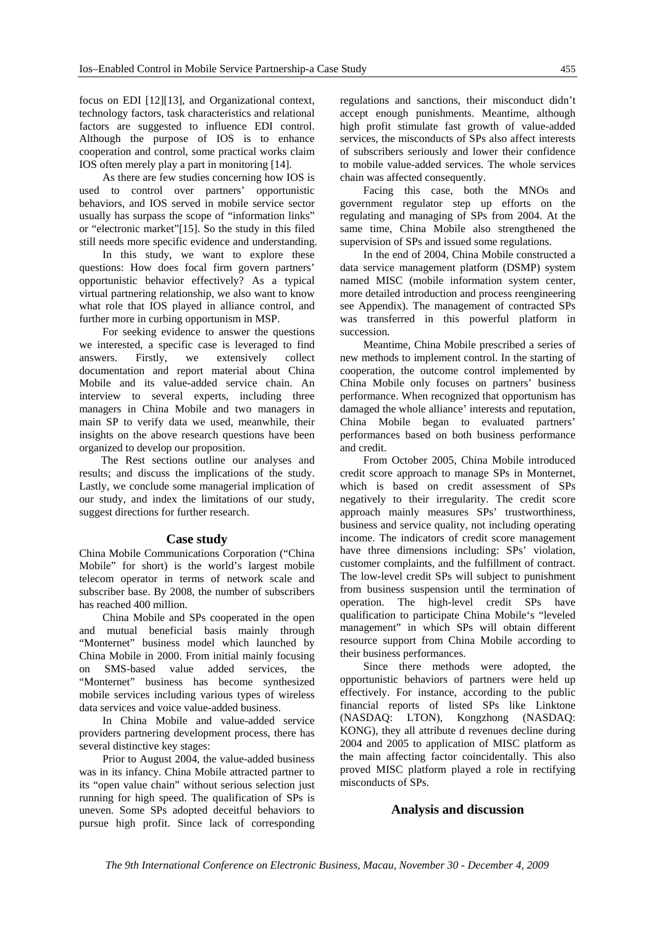focus on EDI [12][13], and Organizational context, technology factors, task characteristics and relational factors are suggested to influence EDI control. Although the purpose of IOS is to enhance cooperation and control, some practical works claim IOS often merely play a part in monitoring [14].

As there are few studies concerning how IOS is used to control over partners' opportunistic behaviors, and IOS served in mobile service sector usually has surpass the scope of "information links" or "electronic market"[15]. So the study in this filed still needs more specific evidence and understanding.

In this study, we want to explore these questions: How does focal firm govern partners' opportunistic behavior effectively? As a typical virtual partnering relationship, we also want to know what role that IOS played in alliance control, and further more in curbing opportunism in MSP.

For seeking evidence to answer the questions we interested, a specific case is leveraged to find answers. Firstly, we extensively collect documentation and report material about China Mobile and its value-added service chain. An interview to several experts, including three managers in China Mobile and two managers in main SP to verify data we used, meanwhile, their insights on the above research questions have been organized to develop our proposition.

The Rest sections outline our analyses and results; and discuss the implications of the study. Lastly, we conclude some managerial implication of our study, and index the limitations of our study, suggest directions for further research.

#### **Case study**

China Mobile Communications Corporation ("China Mobile" for short) is the world's largest mobile telecom operator in terms of network scale and subscriber base. By 2008, the number of subscribers has reached 400 million.

China Mobile and SPs cooperated in the open and mutual beneficial basis mainly through "Monternet" business model which launched by China Mobile in 2000. From initial mainly focusing on SMS-based value added services, the "Monternet" business has become synthesized mobile services including various types of wireless data services and voice value-added business.

In China Mobile and value-added service providers partnering development process, there has several distinctive key stages:

Prior to August 2004, the value-added business was in its infancy. China Mobile attracted partner to its "open value chain" without serious selection just running for high speed. The qualification of SPs is uneven. Some SPs adopted deceitful behaviors to pursue high profit. Since lack of corresponding regulations and sanctions, their misconduct didn't accept enough punishments. Meantime, although high profit stimulate fast growth of value-added services, the misconducts of SPs also affect interests of subscribers seriously and lower their confidence to mobile value-added services. The whole services chain was affected consequently.

Facing this case, both the MNOs and government regulator step up efforts on the regulating and managing of SPs from 2004. At the same time, China Mobile also strengthened the supervision of SPs and issued some regulations.

In the end of 2004, China Mobile constructed a data service management platform (DSMP) system named MISC (mobile information system center, more detailed introduction and process reengineering see Appendix). The management of contracted SPs was transferred in this powerful platform in succession.

Meantime, China Mobile prescribed a series of new methods to implement control. In the starting of cooperation, the outcome control implemented by China Mobile only focuses on partners' business performance. When recognized that opportunism has damaged the whole alliance' interests and reputation, China Mobile began to evaluated partners' performances based on both business performance and credit.

From October 2005, China Mobile introduced credit score approach to manage SPs in Monternet, which is based on credit assessment of SPs negatively to their irregularity. The credit score approach mainly measures SPs' trustworthiness, business and service quality, not including operating income. The indicators of credit score management have three dimensions including: SPs' violation, customer complaints, and the fulfillment of contract. The low-level credit SPs will subject to punishment from business suspension until the termination of operation. The high-level credit SPs have qualification to participate China Mobile's "leveled management" in which SPs will obtain different resource support from China Mobile according to their business performances.

Since there methods were adopted, the opportunistic behaviors of partners were held up effectively. For instance, according to the public financial reports of listed SPs like Linktone (NASDAQ: LTON), Kongzhong (NASDAQ: KONG), they all attribute d revenues decline during 2004 and 2005 to application of MISC platform as the main affecting factor coincidentally. This also proved MISC platform played a role in rectifying misconducts of SPs.

### **Analysis and discussion**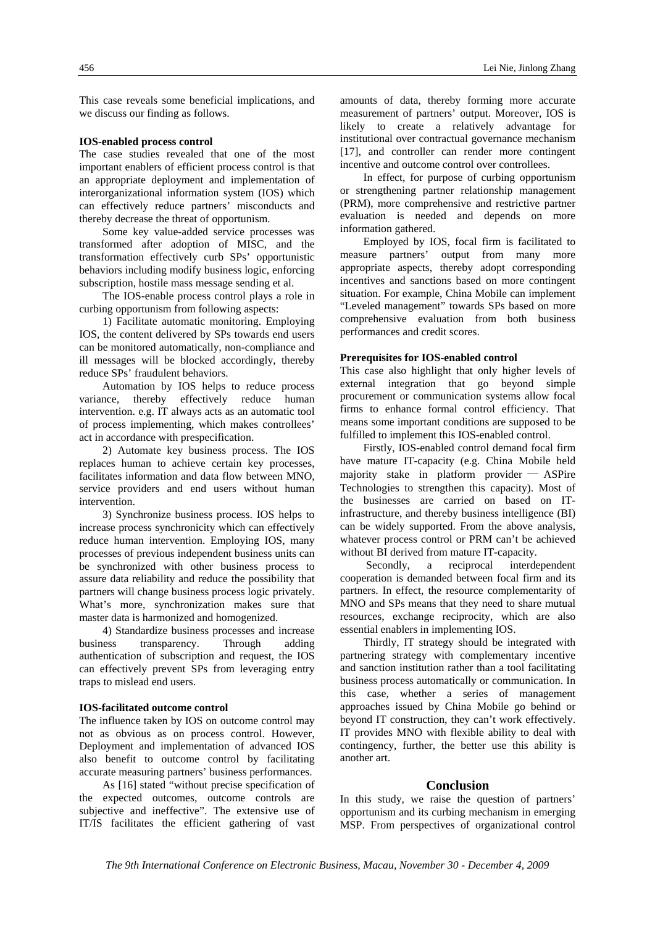This case reveals some beneficial implications, and we discuss our finding as follows.

### **IOS-enabled process control**

The case studies revealed that one of the most important enablers of efficient process control is that an appropriate deployment and implementation of interorganizational information system (IOS) which can effectively reduce partners' misconducts and thereby decrease the threat of opportunism.

Some key value-added service processes was transformed after adoption of MISC, and the transformation effectively curb SPs' opportunistic behaviors including modify business logic, enforcing subscription, hostile mass message sending et al.

The IOS-enable process control plays a role in curbing opportunism from following aspects:

1) Facilitate automatic monitoring. Employing IOS, the content delivered by SPs towards end users can be monitored automatically, non-compliance and ill messages will be blocked accordingly, thereby reduce SPs' fraudulent behaviors.

Automation by IOS helps to reduce process variance, thereby effectively reduce human intervention. e.g. IT always acts as an automatic tool of process implementing, which makes controllees' act in accordance with prespecification.

2) Automate key business process. The IOS replaces human to achieve certain key processes, facilitates information and data flow between MNO, service providers and end users without human intervention.

3) Synchronize business process. IOS helps to increase process synchronicity which can effectively reduce human intervention. Employing IOS, many processes of previous independent business units can be synchronized with other business process to assure data reliability and reduce the possibility that partners will change business process logic privately. What's more, synchronization makes sure that master data is harmonized and homogenized.

4) Standardize business processes and increase business transparency. Through adding authentication of subscription and request, the IOS can effectively prevent SPs from leveraging entry traps to mislead end users.

#### **IOS-facilitated outcome control**

The influence taken by IOS on outcome control may not as obvious as on process control. However, Deployment and implementation of advanced IOS also benefit to outcome control by facilitating accurate measuring partners' business performances.

As [16] stated "without precise specification of the expected outcomes, outcome controls are subjective and ineffective". The extensive use of IT/IS facilitates the efficient gathering of vast amounts of data, thereby forming more accurate measurement of partners' output. Moreover, IOS is likely to create a relatively advantage for institutional over contractual governance mechanism [17], and controller can render more contingent incentive and outcome control over controllees.

In effect, for purpose of curbing opportunism or strengthening partner relationship management (PRM), more comprehensive and restrictive partner evaluation is needed and depends on more information gathered.

Employed by IOS, focal firm is facilitated to measure partners' output from many more appropriate aspects, thereby adopt corresponding incentives and sanctions based on more contingent situation. For example, China Mobile can implement "Leveled management" towards SPs based on more comprehensive evaluation from both business performances and credit scores.

#### **Prerequisites for IOS-enabled control**

This case also highlight that only higher levels of external integration that go beyond simple procurement or communication systems allow focal firms to enhance formal control efficiency. That means some important conditions are supposed to be fulfilled to implement this IOS-enabled control.

Firstly, IOS-enabled control demand focal firm have mature IT-capacity (e.g. China Mobile held majority stake in platform provider — ASPire Technologies to strengthen this capacity). Most of the businesses are carried on based on ITinfrastructure, and thereby business intelligence (BI) can be widely supported. From the above analysis, whatever process control or PRM can't be achieved without BI derived from mature IT-capacity.

Secondly, a reciprocal interdependent cooperation is demanded between focal firm and its partners. In effect, the resource complementarity of MNO and SPs means that they need to share mutual resources, exchange reciprocity, which are also essential enablers in implementing IOS.

Thirdly, IT strategy should be integrated with partnering strategy with complementary incentive and sanction institution rather than a tool facilitating business process automatically or communication. In this case, whether a series of management approaches issued by China Mobile go behind or beyond IT construction, they can't work effectively. IT provides MNO with flexible ability to deal with contingency, further, the better use this ability is another art.

#### **Conclusion**

In this study, we raise the question of partners' opportunism and its curbing mechanism in emerging MSP. From perspectives of organizational control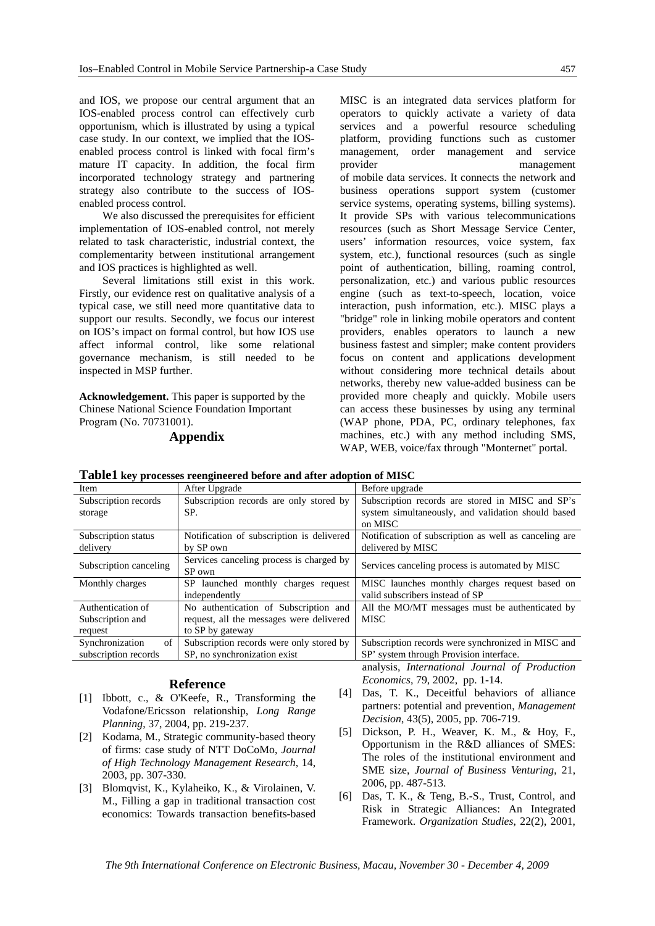and IOS, we propose our central argument that an IOS-enabled process control can effectively curb opportunism, which is illustrated by using a typical case study. In our context, we implied that the IOSenabled process control is linked with focal firm's mature IT capacity. In addition, the focal firm incorporated technology strategy and partnering strategy also contribute to the success of IOSenabled process control.

We also discussed the prerequisites for efficient implementation of IOS-enabled control, not merely related to task characteristic, industrial context, the complementarity between institutional arrangement and IOS practices is highlighted as well.

Several limitations still exist in this work. Firstly, our evidence rest on qualitative analysis of a typical case, we still need more quantitative data to support our results. Secondly, we focus our interest on IOS's impact on formal control, but how IOS use affect informal control, like some relational governance mechanism, is still needed to be inspected in MSP further.

**Acknowledgement.** This paper is supported by the Chinese National Science Foundation Important Program (No. 70731001).

## **Appendix**

MISC is an integrated data services platform for operators to quickly activate a variety of data services and a powerful resource scheduling platform, providing functions such as customer management, order management and service management of mobile data services. It connects the network and business operations support system (customer service systems, operating systems, billing systems). It provide SPs with various telecommunications resources (such as Short Message Service Center, users' information resources, voice system, fax system, etc.), functional resources (such as single point of authentication, billing, roaming control, personalization, etc.) and various public resources engine (such as text-to-speech, location, voice interaction, push information, etc.). MISC plays a "bridge" role in linking mobile operators and content providers, enables operators to launch a new business fastest and simpler; make content providers focus on content and applications development without considering more technical details about networks, thereby new value-added business can be provided more cheaply and quickly. Mobile users can access these businesses by using any terminal (WAP phone, PDA, PC, ordinary telephones, fax machines, etc.) with any method including SMS, WAP, WEB, voice/fax through "Monternet" portal.

| Item                   | After Upgrade                             | Before upgrade                                        |  |
|------------------------|-------------------------------------------|-------------------------------------------------------|--|
| Subscription records   | Subscription records are only stored by   | Subscription records are stored in MISC and SP's      |  |
| storage                | SP.                                       | system simultaneously, and validation should based    |  |
|                        |                                           | on MISC                                               |  |
| Subscription status    | Notification of subscription is delivered | Notification of subscription as well as canceling are |  |
| delivery               | by SP own                                 | delivered by MISC                                     |  |
|                        | Services canceling process is charged by  | Services canceling process is automated by MISC       |  |
| Subscription canceling | SP own                                    |                                                       |  |
| Monthly charges        | SP launched monthly charges request       | MISC launches monthly charges request based on        |  |
|                        | independently                             | valid subscribers instead of SP                       |  |
| Authentication of      | No authentication of Subscription and     | All the MO/MT messages must be authenticated by       |  |
| Subscription and       | request, all the messages were delivered  | <b>MISC</b>                                           |  |
| request                | to SP by gateway                          |                                                       |  |
| of<br>Synchronization  | Subscription records were only stored by  | Subscription records were synchronized in MISC and    |  |
| subscription records   | SP, no synchronization exist              | SP' system through Provision interface.               |  |
|                        |                                           | analysis, International Journal of Production         |  |
|                        |                                           | $F = 70.2002 \pm 1.14$                                |  |

| Table1 key processes reengineered before and after adoption of MISC |  |  |  |
|---------------------------------------------------------------------|--|--|--|
|                                                                     |  |  |  |

#### **Reference**

- [1] Ibbott, c., & O'Keefe, R., Transforming the Vodafone/Ericsson relationship, *Long Range Planning*, 37, 2004, pp. 219-237.
- [2] Kodama, M., Strategic community-based theory of firms: case study of NTT DoCoMo, *Journal of High Technology Management Research*, 14, 2003, pp. 307-330.
- [3] Blomqvist, K., Kylaheiko, K., & Virolainen, V. M., Filling a gap in traditional transaction cost economics: Towards transaction benefits-based
- *Economics*, 79, 2002, pp. 1-14. [4] Das, T. K., Deceitful behaviors of alliance partners: potential and prevention, *Management Decision*, 43(5), 2005, pp. 706-719.
- [5] Dickson, P. H., Weaver, K. M., & Hoy, F., Opportunism in the R&D alliances of SMES: The roles of the institutional environment and SME size, *Journal of Business Venturing*, 21, 2006, pp. 487-513.
- [6] Das, T. K., & Teng, B.-S., Trust, Control, and Risk in Strategic Alliances: An Integrated Framework. *Organization Studies*, 22(2), 2001,